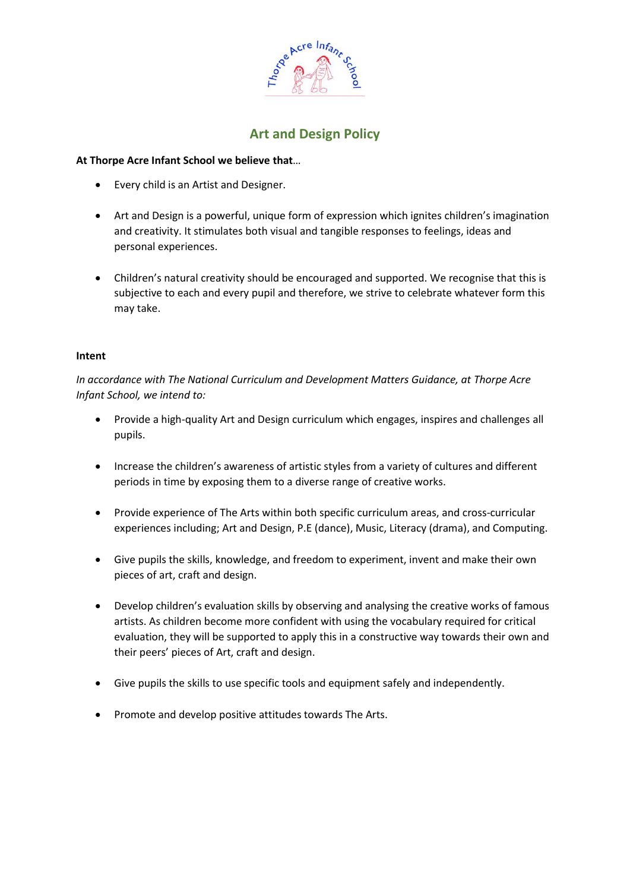

# **Art and Design Policy**

## **At Thorpe Acre Infant School we believe that**…

- Every child is an Artist and Designer.
- Art and Design is a powerful, unique form of expression which ignites children's imagination and creativity. It stimulates both visual and tangible responses to feelings, ideas and personal experiences.
- Children's natural creativity should be encouraged and supported. We recognise that this is subjective to each and every pupil and therefore, we strive to celebrate whatever form this may take.

## **Intent**

*In accordance with The National Curriculum and Development Matters Guidance, at Thorpe Acre Infant School, we intend to:*

- Provide a high-quality Art and Design curriculum which engages, inspires and challenges all pupils.
- Increase the children's awareness of artistic styles from a variety of cultures and different periods in time by exposing them to a diverse range of creative works.
- Provide experience of The Arts within both specific curriculum areas, and cross-curricular experiences including; Art and Design, P.E (dance), Music, Literacy (drama), and Computing.
- Give pupils the skills, knowledge, and freedom to experiment, invent and make their own pieces of art, craft and design.
- Develop children's evaluation skills by observing and analysing the creative works of famous artists. As children become more confident with using the vocabulary required for critical evaluation, they will be supported to apply this in a constructive way towards their own and their peers' pieces of Art, craft and design.
- Give pupils the skills to use specific tools and equipment safely and independently.
- Promote and develop positive attitudes towards The Arts.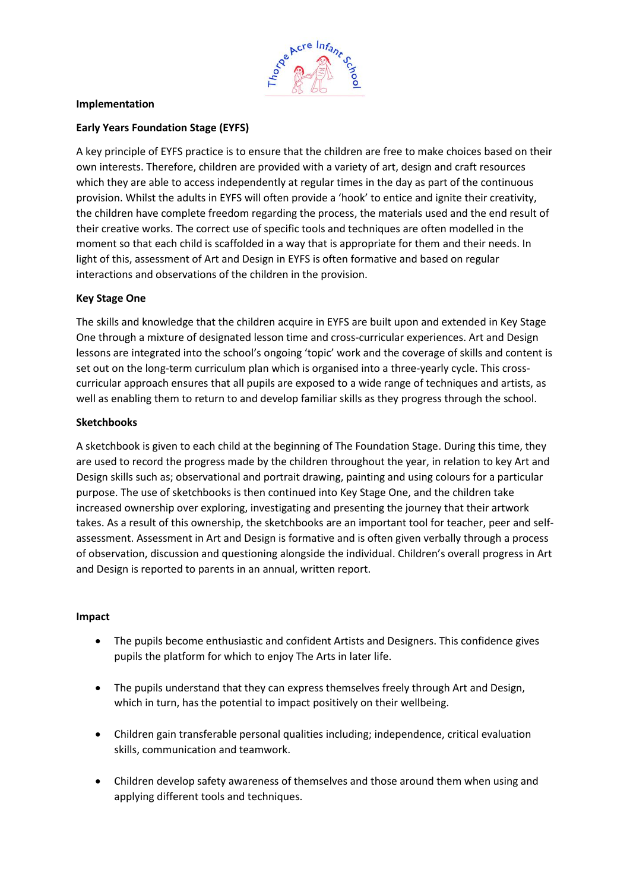

### **Implementation**

## **Early Years Foundation Stage (EYFS)**

A key principle of EYFS practice is to ensure that the children are free to make choices based on their own interests. Therefore, children are provided with a variety of art, design and craft resources which they are able to access independently at regular times in the day as part of the continuous provision. Whilst the adults in EYFS will often provide a 'hook' to entice and ignite their creativity, the children have complete freedom regarding the process, the materials used and the end result of their creative works. The correct use of specific tools and techniques are often modelled in the moment so that each child is scaffolded in a way that is appropriate for them and their needs. In light of this, assessment of Art and Design in EYFS is often formative and based on regular interactions and observations of the children in the provision.

## **Key Stage One**

The skills and knowledge that the children acquire in EYFS are built upon and extended in Key Stage One through a mixture of designated lesson time and cross-curricular experiences. Art and Design lessons are integrated into the school's ongoing 'topic' work and the coverage of skills and content is set out on the long-term curriculum plan which is organised into a three-yearly cycle. This crosscurricular approach ensures that all pupils are exposed to a wide range of techniques and artists, as well as enabling them to return to and develop familiar skills as they progress through the school.

#### **Sketchbooks**

A sketchbook is given to each child at the beginning of The Foundation Stage. During this time, they are used to record the progress made by the children throughout the year, in relation to key Art and Design skills such as; observational and portrait drawing, painting and using colours for a particular purpose. The use of sketchbooks is then continued into Key Stage One, and the children take increased ownership over exploring, investigating and presenting the journey that their artwork takes. As a result of this ownership, the sketchbooks are an important tool for teacher, peer and selfassessment. Assessment in Art and Design is formative and is often given verbally through a process of observation, discussion and questioning alongside the individual. Children's overall progress in Art and Design is reported to parents in an annual, written report.

#### **Impact**

- The pupils become enthusiastic and confident Artists and Designers. This confidence gives pupils the platform for which to enjoy The Arts in later life.
- The pupils understand that they can express themselves freely through Art and Design, which in turn, has the potential to impact positively on their wellbeing.
- Children gain transferable personal qualities including; independence, critical evaluation skills, communication and teamwork.
- Children develop safety awareness of themselves and those around them when using and applying different tools and techniques.